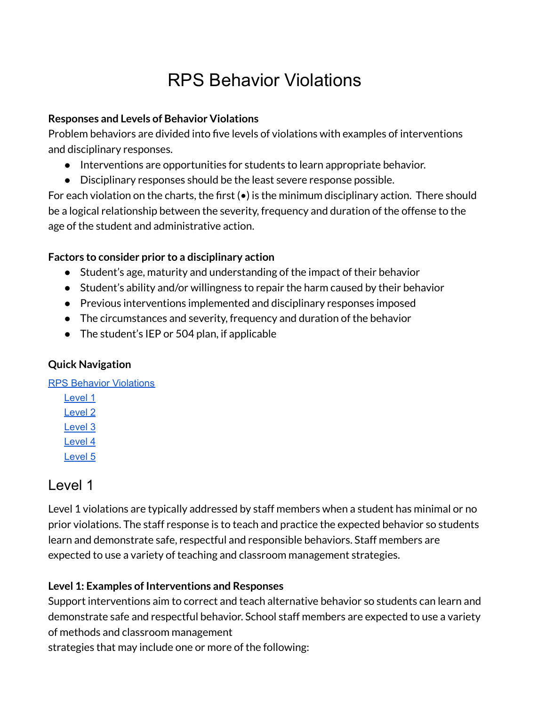## RPS Behavior Violations

#### <span id="page-0-0"></span>**Responses and Levels of Behavior Violations**

Problem behaviors are divided into five levels of violations with examples of interventions and disciplinary responses.

- Interventions are opportunities for students to learn appropriate behavior.
- Disciplinary responses should be the least severe response possible.

For each violation on the charts, the first  $(\bullet)$  is the minimum disciplinary action. There should be a logical relationship between the severity, frequency and duration of the offense to the age of the student and administrative action.

#### **Factors to consider prior to a disciplinary action**

- Student's age, maturity and understanding of the impact of their behavior
- Student's ability and/or willingness to repair the harm caused by their behavior
- Previous interventions implemented and disciplinary responses imposed
- The circumstances and severity, frequency and duration of the behavior
- The student's IEP or 504 plan, if applicable

### **Quick Navigation**

RPS Behavior [Violations](#page-0-0)

[Level](#page-0-1) 1 [Level](#page-2-0) 2 [Level](#page-6-0) 3 [Level](#page-8-0) 4 [Level](#page-10-0) 5

### <span id="page-0-1"></span>Level 1

Level 1 violations are typically addressed by staff members when a student has minimal or no prior violations. The staff response is to teach and practice the expected behavior so students learn and demonstrate safe, respectful and responsible behaviors. Staff members are expected to use a variety of teaching and classroom management strategies.

### **Level 1: Examples of Interventions and Responses**

Support interventions aim to correct and teach alternative behavior so students can learn and demonstrate safe and respectful behavior. School staff members are expected to use a variety of methods and classroom management

strategies that may include one or more of the following: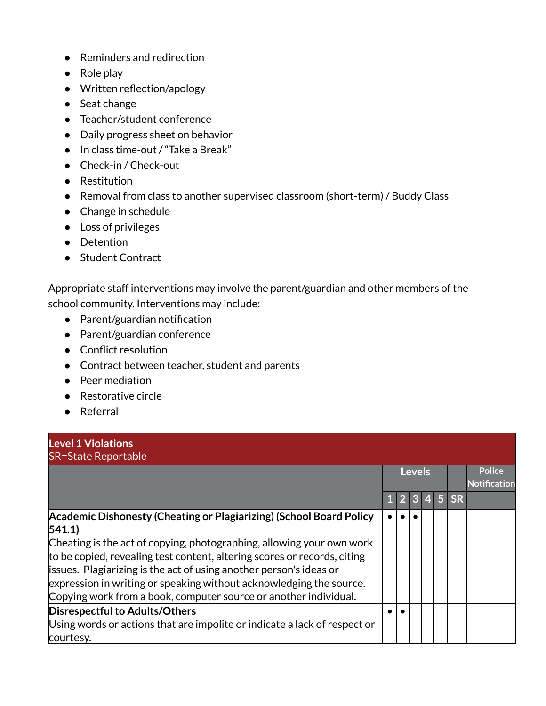- Reminders and redirection
- Role play
- Written reflection/apology
- Seat change
- Teacher/student conference
- Daily progress sheet on behavior
- In class time-out / "Take a Break"
- Check-in / Check-out
- Restitution
- Removal from class to another supervised classroom (short-term) / Buddy Class
- Change in schedule
- Loss of privileges
- Detention
- Student Contract

Appropriate staff interventions may involve the parent/guardian and other members of the school community. Interventions may include:

- Parent/guardian notification
- Parent/guardian conference
- Conflict resolution
- Contract between teacher, student and parents
- Peer mediation
- Restorative circle
- Referral

| <b>Level 1 Violations</b><br><b>SR=State Reportable</b>                                                                                                                                                                                                                                                                                                                                                                                             |  |  |               |  |                  |                                      |  |  |  |  |  |  |
|-----------------------------------------------------------------------------------------------------------------------------------------------------------------------------------------------------------------------------------------------------------------------------------------------------------------------------------------------------------------------------------------------------------------------------------------------------|--|--|---------------|--|------------------|--------------------------------------|--|--|--|--|--|--|
|                                                                                                                                                                                                                                                                                                                                                                                                                                                     |  |  | <b>Levels</b> |  |                  | <b>Police</b><br><b>Notification</b> |  |  |  |  |  |  |
|                                                                                                                                                                                                                                                                                                                                                                                                                                                     |  |  | 3             |  | $4 \overline{5}$ | <b>SR</b>                            |  |  |  |  |  |  |
| Academic Dishonesty (Cheating or Plagiarizing) (School Board Policy<br>541.1)<br>Cheating is the act of copying, photographing, allowing your own work<br>to be copied, revealing test content, altering scores or records, citing<br>issues. Plagiarizing is the act of using another person's ideas or<br>expression in writing or speaking without acknowledging the source.<br>Copying work from a book, computer source or another individual. |  |  |               |  |                  |                                      |  |  |  |  |  |  |
| <b>Disrespectful to Adults/Others</b><br>Using words or actions that are impolite or indicate a lack of respect or<br>courtesy.                                                                                                                                                                                                                                                                                                                     |  |  |               |  |                  |                                      |  |  |  |  |  |  |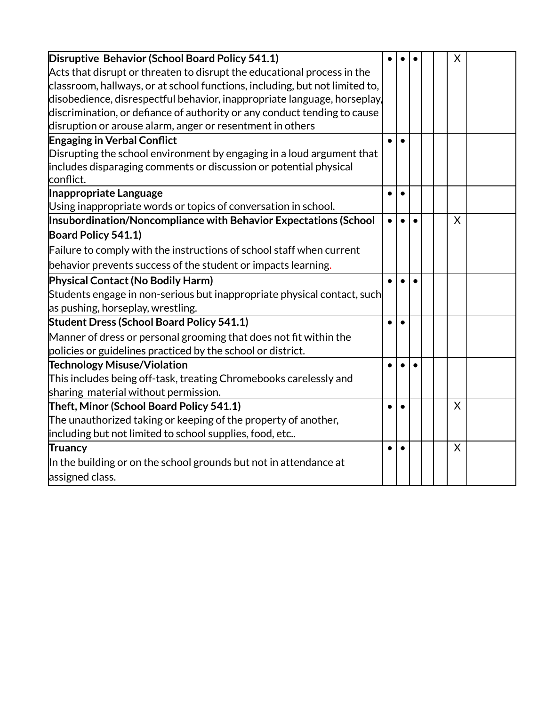<span id="page-2-0"></span>

| Disruptive Behavior (School Board Policy 541.1)                                                      |           |           |           |  | X |  |
|------------------------------------------------------------------------------------------------------|-----------|-----------|-----------|--|---|--|
| $\operatorname{\mathsf{Act}}$ s that disrupt or threaten to disrupt the educational process in the   |           |           |           |  |   |  |
| classroom, hallways, or at school functions, including, but not limited to,                          |           |           |           |  |   |  |
| disobedience, disrespectful behavior, inappropriate language, horseplay,                             |           |           |           |  |   |  |
| discrimination, or defiance of authority or any conduct tending to cause                             |           |           |           |  |   |  |
| disruption or arouse alarm, anger or resentment in others                                            |           |           |           |  |   |  |
| <b>Engaging in Verbal Conflict</b>                                                                   |           | $\bullet$ |           |  |   |  |
| Disrupting the school environment by engaging in a loud argument that                                |           |           |           |  |   |  |
| includes disparaging comments or discussion or potential physical<br>conflict.                       |           |           |           |  |   |  |
| Inappropriate Language                                                                               | $\bullet$ | $\bullet$ |           |  |   |  |
| Using inappropriate words or topics of conversation in school.                                       |           |           |           |  |   |  |
| Insubordination/Noncompliance with Behavior Expectations (School                                     | $\bullet$ | $\bullet$ | $\bullet$ |  | X |  |
| Board Policy 541.1)                                                                                  |           |           |           |  |   |  |
| Failure to comply with the instructions of school staff when current                                 |           |           |           |  |   |  |
| behavior prevents success of the student or impacts learning.                                        |           |           |           |  |   |  |
| Physical Contact (No Bodily Harm)                                                                    |           |           |           |  |   |  |
| $\mathsf{\mathsf{Student}}$ s engage in non-serious but inappropriate physical contact, such $\vert$ |           |           |           |  |   |  |
| as pushing, horseplay, wrestling.                                                                    |           |           |           |  |   |  |
| <b>Student Dress (School Board Policy 541.1)</b>                                                     |           |           |           |  |   |  |
| Manner of dress or personal grooming that does not fit within the                                    |           |           |           |  |   |  |
| policies or guidelines practiced by the school or district.                                          |           |           |           |  |   |  |
| <b>Technology Misuse/Violation</b>                                                                   |           |           |           |  |   |  |
| This includes being off-task, treating Chromebooks carelessly and                                    |           |           |           |  |   |  |
| sharing material without permission.                                                                 |           |           |           |  |   |  |
| Theft, Minor (School Board Policy 541.1)                                                             | $\bullet$ | $\bullet$ |           |  | X |  |
| The unauthorized taking or keeping of the property of another,                                       |           |           |           |  |   |  |
| including but not limited to school supplies, food, etc                                              |           |           |           |  |   |  |
| <b>Truancy</b>                                                                                       |           |           |           |  | X |  |
| In the building or on the school grounds but not in attendance at                                    |           |           |           |  |   |  |
| assigned class.                                                                                      |           |           |           |  |   |  |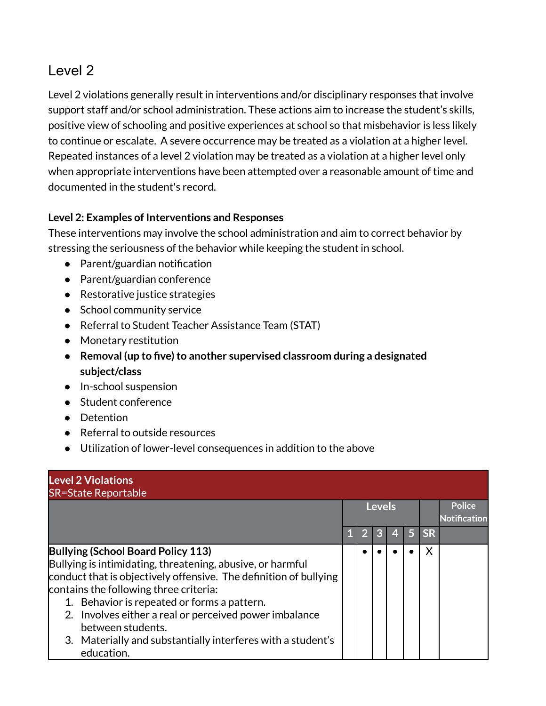Level 2 violations generally result in interventions and/or disciplinary responses that involve support staff and/or school administration. These actions aim to increase the student's skills, positive view of schooling and positive experiences at school so that misbehavior is less likely to continue or escalate. A severe occurrence may be treated as a violation at a higher level. Repeated instances of a level 2 violation may be treated as a violation at a higher level only when appropriate interventions have been attempted over a reasonable amount of time and documented in the student's record.

### **Level 2: Examples of Interventions and Responses**

These interventions may involve the school administration and aim to correct behavior by stressing the seriousness of the behavior while keeping the student in school.

- Parent/guardian notification
- Parent/guardian conference
- Restorative justice strategies
- School community service
- Referral to Student Teacher Assistance Team (STAT)
- Monetary restitution
- **•** Removal (up to five) to another supervised classroom during a designated **subject/class**
- In-school suspension
- Student conference
- Detention
- Referral to outside resources
- Utilization of lower-level consequences in addition to the above

| <b>Level 2 Violations</b><br><b>SR=State Reportable</b>                                                                                                                                                                                                                                                                                                                                                                    |  |               |   |    |           |                                      |
|----------------------------------------------------------------------------------------------------------------------------------------------------------------------------------------------------------------------------------------------------------------------------------------------------------------------------------------------------------------------------------------------------------------------------|--|---------------|---|----|-----------|--------------------------------------|
|                                                                                                                                                                                                                                                                                                                                                                                                                            |  | <b>Levels</b> |   |    |           | <b>Police</b><br><b>Notification</b> |
|                                                                                                                                                                                                                                                                                                                                                                                                                            |  | 3             | 4 | 15 | <b>SR</b> |                                      |
| Bullying (School Board Policy 113)<br>Bullying is intimidating, threatening, abusive, or harmful<br>conduct that is objectively offensive. The definition of bullying<br>contains the following three criteria:<br>1. Behavior is repeated or forms a pattern.<br>2. Involves either a real or perceived power imbalance<br>between students.<br>3. Materially and substantially interferes with a student's<br>education. |  |               |   |    | X         |                                      |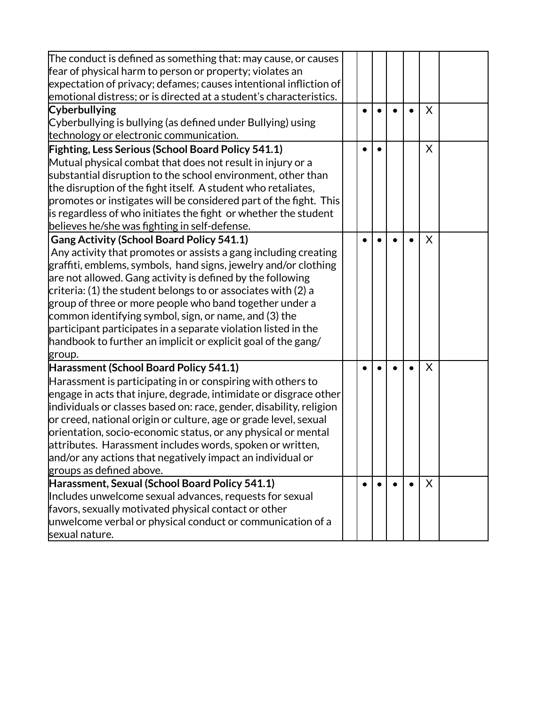| The conduct is defined as something that: may cause, or causes      |  |  |   |  |
|---------------------------------------------------------------------|--|--|---|--|
| fear of physical harm to person or property; violates an            |  |  |   |  |
| expectation of privacy; defames; causes intentional infliction of   |  |  |   |  |
| emotional distress; or is directed at a student's characteristics.  |  |  |   |  |
| <b>Cyberbullying</b>                                                |  |  | X |  |
| Cyberbullying is bullying (as defined under Bullying) using         |  |  |   |  |
| technology or electronic communication.                             |  |  |   |  |
| <b>Fighting, Less Serious (School Board Policy 541.1)</b>           |  |  | X |  |
| Mutual physical combat that does not result in injury or a          |  |  |   |  |
| substantial disruption to the school environment, other than        |  |  |   |  |
| the disruption of the fight itself. A student who retaliates,       |  |  |   |  |
| promotes or instigates will be considered part of the fight. This   |  |  |   |  |
| is regardless of who initiates the fight or whether the student     |  |  |   |  |
| believes he/she was fighting in self-defense.                       |  |  |   |  |
| <b>Gang Activity (School Board Policy 541.1)</b>                    |  |  | X |  |
| Any activity that promotes or assists a gang including creating     |  |  |   |  |
| graffiti, emblems, symbols, hand signs, jewelry and/or clothing     |  |  |   |  |
| are not allowed. Gang activity is defined by the following          |  |  |   |  |
| $ $ criteria: (1) the student belongs to or associates with (2) a   |  |  |   |  |
| group of three or more people who band together under a             |  |  |   |  |
| common identifying symbol, sign, or name, and (3) the               |  |  |   |  |
| participant participates in a separate violation listed in the      |  |  |   |  |
| handbook to further an implicit or explicit goal of the gang/       |  |  |   |  |
| group.                                                              |  |  |   |  |
| Harassment (School Board Policy 541.1)                              |  |  | X |  |
| Harassment is participating in or conspiring with others to         |  |  |   |  |
| engage in acts that injure, degrade, intimidate or disgrace other   |  |  |   |  |
| individuals or classes based on: race, gender, disability, religion |  |  |   |  |
| or creed, national origin or culture, age or grade level, sexual    |  |  |   |  |
| orientation, socio-economic status, or any physical or mental       |  |  |   |  |
| attributes. Harassment includes words, spoken or written,           |  |  |   |  |
| and/or any actions that negatively impact an individual or          |  |  |   |  |
| groups as defined above.                                            |  |  |   |  |
| Harassment, Sexual (School Board Policy 541.1)                      |  |  | X |  |
| Includes unwelcome sexual advances, requests for sexual             |  |  |   |  |
| favors, sexually motivated physical contact or other                |  |  |   |  |
| unwelcome verbal or physical conduct or communication of a          |  |  |   |  |
| sexual nature.                                                      |  |  |   |  |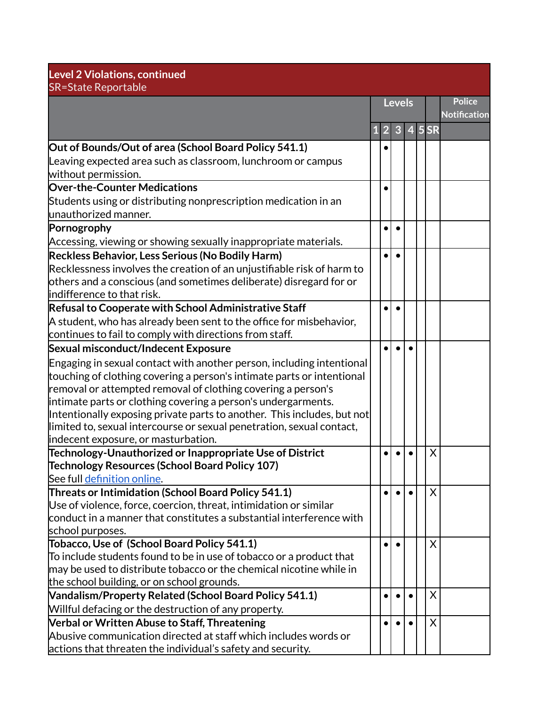| <b>Police</b><br><b>Levels</b><br><b>Notification</b><br>$\overline{4}$ 5 SR<br>3<br>$\overline{2}$<br>Out of Bounds/Out of area (School Board Policy 541.1)<br>Leaving expected area such as classroom, lunchroom or campus<br>Students using or distributing nonprescription medication in an<br>limited to, sexual intercourse or sexual penetration, sexual contact,<br>indecent exposure, or masturbation.<br>Technology-Unauthorized or Inappropriate Use of District<br>Χ<br>Technology Resources (School Board Policy 107)<br>See full definition online.<br>Threats or Intimidation (School Board Policy 541.1)<br>X<br>Use of violence, force, coercion, threat, intimidation or similar<br>conduct in a manner that constitutes a substantial interference with<br>school purposes.<br>Tobacco, Use of (School Board Policy 541.1)<br>X<br>To include students found to be in use of tobacco or a product that<br>may be used to distribute tobacco or the chemical nicotine while in | <b>Level 2 Violations, continued</b><br><b>SR=State Reportable</b>          |  |  |  |  |  |  |  |  |  |  |
|--------------------------------------------------------------------------------------------------------------------------------------------------------------------------------------------------------------------------------------------------------------------------------------------------------------------------------------------------------------------------------------------------------------------------------------------------------------------------------------------------------------------------------------------------------------------------------------------------------------------------------------------------------------------------------------------------------------------------------------------------------------------------------------------------------------------------------------------------------------------------------------------------------------------------------------------------------------------------------------------------|-----------------------------------------------------------------------------|--|--|--|--|--|--|--|--|--|--|
|                                                                                                                                                                                                                                                                                                                                                                                                                                                                                                                                                                                                                                                                                                                                                                                                                                                                                                                                                                                                  |                                                                             |  |  |  |  |  |  |  |  |  |  |
|                                                                                                                                                                                                                                                                                                                                                                                                                                                                                                                                                                                                                                                                                                                                                                                                                                                                                                                                                                                                  |                                                                             |  |  |  |  |  |  |  |  |  |  |
|                                                                                                                                                                                                                                                                                                                                                                                                                                                                                                                                                                                                                                                                                                                                                                                                                                                                                                                                                                                                  |                                                                             |  |  |  |  |  |  |  |  |  |  |
|                                                                                                                                                                                                                                                                                                                                                                                                                                                                                                                                                                                                                                                                                                                                                                                                                                                                                                                                                                                                  |                                                                             |  |  |  |  |  |  |  |  |  |  |
|                                                                                                                                                                                                                                                                                                                                                                                                                                                                                                                                                                                                                                                                                                                                                                                                                                                                                                                                                                                                  | without permission.                                                         |  |  |  |  |  |  |  |  |  |  |
|                                                                                                                                                                                                                                                                                                                                                                                                                                                                                                                                                                                                                                                                                                                                                                                                                                                                                                                                                                                                  | <b>Over-the-Counter Medications</b>                                         |  |  |  |  |  |  |  |  |  |  |
|                                                                                                                                                                                                                                                                                                                                                                                                                                                                                                                                                                                                                                                                                                                                                                                                                                                                                                                                                                                                  |                                                                             |  |  |  |  |  |  |  |  |  |  |
|                                                                                                                                                                                                                                                                                                                                                                                                                                                                                                                                                                                                                                                                                                                                                                                                                                                                                                                                                                                                  | unauthorized manner.                                                        |  |  |  |  |  |  |  |  |  |  |
|                                                                                                                                                                                                                                                                                                                                                                                                                                                                                                                                                                                                                                                                                                                                                                                                                                                                                                                                                                                                  | Pornogrophy                                                                 |  |  |  |  |  |  |  |  |  |  |
|                                                                                                                                                                                                                                                                                                                                                                                                                                                                                                                                                                                                                                                                                                                                                                                                                                                                                                                                                                                                  | Accessing, viewing or showing sexually inappropriate materials.             |  |  |  |  |  |  |  |  |  |  |
|                                                                                                                                                                                                                                                                                                                                                                                                                                                                                                                                                                                                                                                                                                                                                                                                                                                                                                                                                                                                  | Reckless Behavior, Less Serious (No Bodily Harm)                            |  |  |  |  |  |  |  |  |  |  |
|                                                                                                                                                                                                                                                                                                                                                                                                                                                                                                                                                                                                                                                                                                                                                                                                                                                                                                                                                                                                  | Recklessness involves the creation of an unjustifiable risk of harm to      |  |  |  |  |  |  |  |  |  |  |
|                                                                                                                                                                                                                                                                                                                                                                                                                                                                                                                                                                                                                                                                                                                                                                                                                                                                                                                                                                                                  | others and a conscious (and sometimes deliberate) disregard for or          |  |  |  |  |  |  |  |  |  |  |
|                                                                                                                                                                                                                                                                                                                                                                                                                                                                                                                                                                                                                                                                                                                                                                                                                                                                                                                                                                                                  | lindifference to that risk.                                                 |  |  |  |  |  |  |  |  |  |  |
|                                                                                                                                                                                                                                                                                                                                                                                                                                                                                                                                                                                                                                                                                                                                                                                                                                                                                                                                                                                                  | Refusal to Cooperate with School Administrative Staff                       |  |  |  |  |  |  |  |  |  |  |
|                                                                                                                                                                                                                                                                                                                                                                                                                                                                                                                                                                                                                                                                                                                                                                                                                                                                                                                                                                                                  | A student, who has already been sent to the office for misbehavior,         |  |  |  |  |  |  |  |  |  |  |
|                                                                                                                                                                                                                                                                                                                                                                                                                                                                                                                                                                                                                                                                                                                                                                                                                                                                                                                                                                                                  | continues to fail to comply with directions from staff.                     |  |  |  |  |  |  |  |  |  |  |
|                                                                                                                                                                                                                                                                                                                                                                                                                                                                                                                                                                                                                                                                                                                                                                                                                                                                                                                                                                                                  | Sexual misconduct/Indecent Exposure                                         |  |  |  |  |  |  |  |  |  |  |
|                                                                                                                                                                                                                                                                                                                                                                                                                                                                                                                                                                                                                                                                                                                                                                                                                                                                                                                                                                                                  | Engaging in sexual contact with another person, including intentional       |  |  |  |  |  |  |  |  |  |  |
|                                                                                                                                                                                                                                                                                                                                                                                                                                                                                                                                                                                                                                                                                                                                                                                                                                                                                                                                                                                                  | touching of clothing covering a person's intimate parts or intentional      |  |  |  |  |  |  |  |  |  |  |
|                                                                                                                                                                                                                                                                                                                                                                                                                                                                                                                                                                                                                                                                                                                                                                                                                                                                                                                                                                                                  | removal or attempted removal of clothing covering a person's                |  |  |  |  |  |  |  |  |  |  |
|                                                                                                                                                                                                                                                                                                                                                                                                                                                                                                                                                                                                                                                                                                                                                                                                                                                                                                                                                                                                  | intimate parts or clothing covering a person's undergarments.               |  |  |  |  |  |  |  |  |  |  |
|                                                                                                                                                                                                                                                                                                                                                                                                                                                                                                                                                                                                                                                                                                                                                                                                                                                                                                                                                                                                  | $ $ Intentionally exposing private parts to another. This includes, but not |  |  |  |  |  |  |  |  |  |  |
|                                                                                                                                                                                                                                                                                                                                                                                                                                                                                                                                                                                                                                                                                                                                                                                                                                                                                                                                                                                                  |                                                                             |  |  |  |  |  |  |  |  |  |  |
|                                                                                                                                                                                                                                                                                                                                                                                                                                                                                                                                                                                                                                                                                                                                                                                                                                                                                                                                                                                                  |                                                                             |  |  |  |  |  |  |  |  |  |  |
|                                                                                                                                                                                                                                                                                                                                                                                                                                                                                                                                                                                                                                                                                                                                                                                                                                                                                                                                                                                                  |                                                                             |  |  |  |  |  |  |  |  |  |  |
|                                                                                                                                                                                                                                                                                                                                                                                                                                                                                                                                                                                                                                                                                                                                                                                                                                                                                                                                                                                                  |                                                                             |  |  |  |  |  |  |  |  |  |  |
|                                                                                                                                                                                                                                                                                                                                                                                                                                                                                                                                                                                                                                                                                                                                                                                                                                                                                                                                                                                                  |                                                                             |  |  |  |  |  |  |  |  |  |  |
|                                                                                                                                                                                                                                                                                                                                                                                                                                                                                                                                                                                                                                                                                                                                                                                                                                                                                                                                                                                                  |                                                                             |  |  |  |  |  |  |  |  |  |  |
|                                                                                                                                                                                                                                                                                                                                                                                                                                                                                                                                                                                                                                                                                                                                                                                                                                                                                                                                                                                                  |                                                                             |  |  |  |  |  |  |  |  |  |  |
|                                                                                                                                                                                                                                                                                                                                                                                                                                                                                                                                                                                                                                                                                                                                                                                                                                                                                                                                                                                                  |                                                                             |  |  |  |  |  |  |  |  |  |  |
|                                                                                                                                                                                                                                                                                                                                                                                                                                                                                                                                                                                                                                                                                                                                                                                                                                                                                                                                                                                                  |                                                                             |  |  |  |  |  |  |  |  |  |  |
|                                                                                                                                                                                                                                                                                                                                                                                                                                                                                                                                                                                                                                                                                                                                                                                                                                                                                                                                                                                                  |                                                                             |  |  |  |  |  |  |  |  |  |  |
|                                                                                                                                                                                                                                                                                                                                                                                                                                                                                                                                                                                                                                                                                                                                                                                                                                                                                                                                                                                                  |                                                                             |  |  |  |  |  |  |  |  |  |  |
|                                                                                                                                                                                                                                                                                                                                                                                                                                                                                                                                                                                                                                                                                                                                                                                                                                                                                                                                                                                                  | the school building, or on school grounds.                                  |  |  |  |  |  |  |  |  |  |  |
| X                                                                                                                                                                                                                                                                                                                                                                                                                                                                                                                                                                                                                                                                                                                                                                                                                                                                                                                                                                                                | <b>Vandalism/Property Related (School Board Policy 541.1)</b>               |  |  |  |  |  |  |  |  |  |  |
|                                                                                                                                                                                                                                                                                                                                                                                                                                                                                                                                                                                                                                                                                                                                                                                                                                                                                                                                                                                                  | Willful defacing or the destruction of any property.                        |  |  |  |  |  |  |  |  |  |  |
| X                                                                                                                                                                                                                                                                                                                                                                                                                                                                                                                                                                                                                                                                                                                                                                                                                                                                                                                                                                                                | <b>Verbal or Written Abuse to Staff, Threatening</b>                        |  |  |  |  |  |  |  |  |  |  |
|                                                                                                                                                                                                                                                                                                                                                                                                                                                                                                                                                                                                                                                                                                                                                                                                                                                                                                                                                                                                  | Abusive communication directed at staff which includes words or             |  |  |  |  |  |  |  |  |  |  |
|                                                                                                                                                                                                                                                                                                                                                                                                                                                                                                                                                                                                                                                                                                                                                                                                                                                                                                                                                                                                  | actions that threaten the individual's safety and security.                 |  |  |  |  |  |  |  |  |  |  |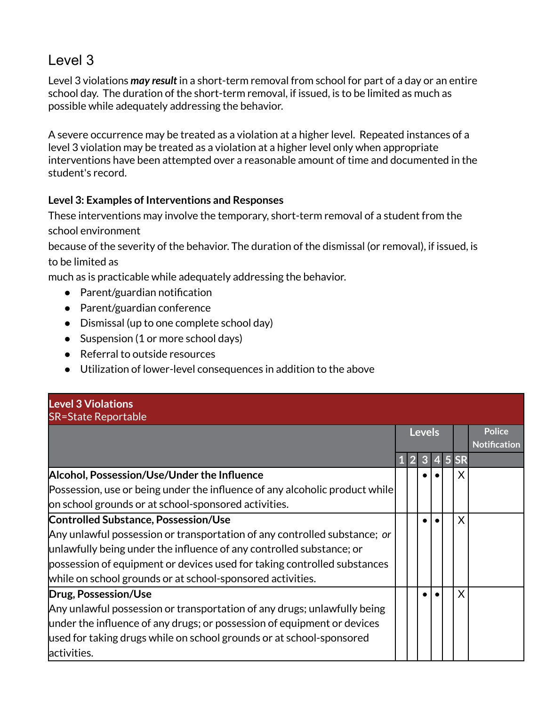<span id="page-6-0"></span>Level 3 violations *may result* in a short-term removal from school for part of a day or an entire school day. The duration of the short-term removal, if issued, is to be limited as much as possible while adequately addressing the behavior.

A severe occurrence may be treated as a violation at a higher level. Repeated instances of a level 3 violation may be treated as a violation at a higher level only when appropriate interventions have been attempted over a reasonable amount of time and documented in the student's record.

### **Level 3: Examples of Interventions and Responses**

These interventions may involve the temporary, short-term removal of a student from the school environment

because of the severity of the behavior. The duration of the dismissal (or removal), if issued, is to be limited as

much as is practicable while adequately addressing the behavior.

- Parent/guardian notification
- Parent/guardian conference
- Dismissal (up to one complete school day)
- Suspension (1 or more school days)
- Referral to outside resources
- Utilization of lower-level consequences in addition to the above

# **Level 3 Violations**

| <b>SR=State Reportable</b>                                                  |  |                |               |  |  |        |                                      |  |  |  |  |
|-----------------------------------------------------------------------------|--|----------------|---------------|--|--|--------|--------------------------------------|--|--|--|--|
|                                                                             |  |                | <b>Levels</b> |  |  |        | <b>Police</b><br><b>Notification</b> |  |  |  |  |
|                                                                             |  | $\overline{2}$ | 3             |  |  | 4 5 SR |                                      |  |  |  |  |
| Alcohol, Possession/Use/Under the Influence                                 |  |                |               |  |  |        |                                      |  |  |  |  |
| Possession, use or being under the influence of any alcoholic product while |  |                |               |  |  |        |                                      |  |  |  |  |
| on school grounds or at school-sponsored activities.                        |  |                |               |  |  |        |                                      |  |  |  |  |
| Controlled Substance, Possession/Use                                        |  |                |               |  |  | X      |                                      |  |  |  |  |
| Any unlawful possession or transportation of any controlled substance; or   |  |                |               |  |  |        |                                      |  |  |  |  |
| unlawfully being under the influence of any controlled substance; or        |  |                |               |  |  |        |                                      |  |  |  |  |
| possession of equipment or devices used for taking controlled substances    |  |                |               |  |  |        |                                      |  |  |  |  |
| while on school grounds or at school-sponsored activities.                  |  |                |               |  |  |        |                                      |  |  |  |  |
| Drug, Possession/Use                                                        |  |                |               |  |  | X      |                                      |  |  |  |  |
| Any unlawful possession or transportation of any drugs; unlawfully being    |  |                |               |  |  |        |                                      |  |  |  |  |
| under the influence of any drugs; or possession of equipment or devices     |  |                |               |  |  |        |                                      |  |  |  |  |
| used for taking drugs while on school grounds or at school-sponsored        |  |                |               |  |  |        |                                      |  |  |  |  |
| activities.                                                                 |  |                |               |  |  |        |                                      |  |  |  |  |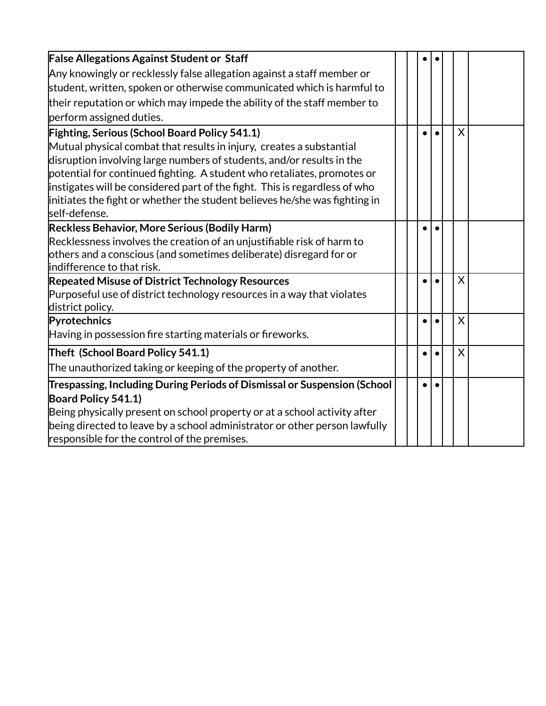| <b>False Allegations Against Student or Staff</b>                          |  |  |   |  |
|----------------------------------------------------------------------------|--|--|---|--|
| Any knowingly or recklessly false allegation against a staff member or     |  |  |   |  |
| student, written, spoken or otherwise communicated which is harmful to     |  |  |   |  |
| their reputation or which may impede the ability of the staff member to    |  |  |   |  |
| perform assigned duties.                                                   |  |  |   |  |
| <b>Fighting, Serious (School Board Policy 541.1)</b>                       |  |  | X |  |
| Mutual physical combat that results in injury, creates a substantial       |  |  |   |  |
| disruption involving large numbers of students, and/or results in the      |  |  |   |  |
| potential for continued fighting. A student who retaliates, promotes or    |  |  |   |  |
| instigates will be considered part of the fight. This is regardless of who |  |  |   |  |
| initiates the fight or whether the student believes he/she was fighting in |  |  |   |  |
| self-defense.                                                              |  |  |   |  |
| Reckless Behavior, More Serious (Bodily Harm)                              |  |  |   |  |
| Recklessness involves the creation of an unjustifiable risk of harm to     |  |  |   |  |
| others and a conscious (and sometimes deliberate) disregard for or         |  |  |   |  |
| indifference to that risk.                                                 |  |  |   |  |
| <b>Repeated Misuse of District Technology Resources</b>                    |  |  | X |  |
| Purposeful use of district technology resources in a way that violates     |  |  |   |  |
| district policy.                                                           |  |  |   |  |
| Pyrotechnics                                                               |  |  | X |  |
| Having in possession fire starting materials or fireworks.                 |  |  |   |  |
| Theft (School Board Policy 541.1)                                          |  |  | X |  |
| The unauthorized taking or keeping of the property of another.             |  |  |   |  |
| Trespassing, Including During Periods of Dismissal or Suspension (School   |  |  |   |  |
| Board Policy 541.1)                                                        |  |  |   |  |
| Being physically present on school property or at a school activity after  |  |  |   |  |
| being directed to leave by a school administrator or other person lawfully |  |  |   |  |
| responsible for the control of the premises.                               |  |  |   |  |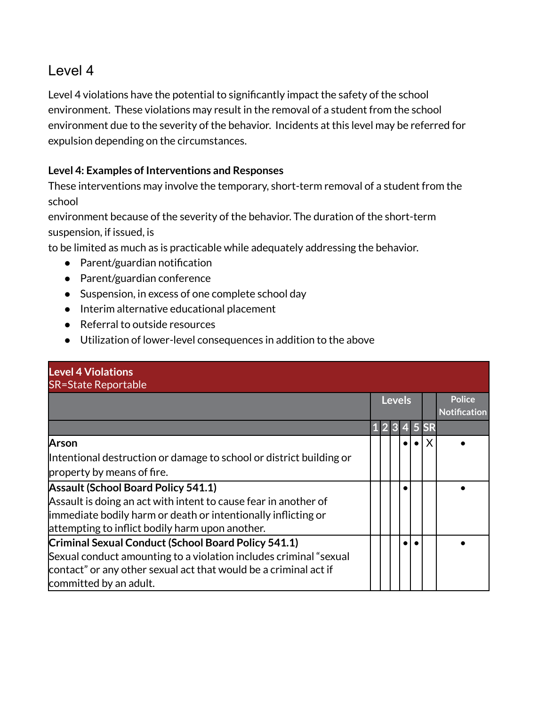<span id="page-8-0"></span>Level 4 violations have the potential to significantly impact the safety of the school environment. These violations may result in the removal of a student from the school environment due to the severity of the behavior. Incidents at this level may be referred for expulsion depending on the circumstances.

### **Level 4: Examples of Interventions and Responses**

These interventions may involve the temporary, short-term removal of a student from the school

environment because of the severity of the behavior. The duration of the short-term suspension, if issued, is

to be limited as much as is practicable while adequately addressing the behavior.

- Parent/guardian notification
- Parent/guardian conference
- Suspension, in excess of one complete school day
- Interim alternative educational placement
- Referral to outside resources
- Utilization of lower-level consequences in addition to the above

| <b>Level 4 Violations</b><br><b>SR=State Reportable</b>             |  |               |  |        |                                      |
|---------------------------------------------------------------------|--|---------------|--|--------|--------------------------------------|
|                                                                     |  | <b>Levels</b> |  |        | <b>Police</b><br><b>Notification</b> |
|                                                                     |  | 2 3           |  | 4 5 SR |                                      |
| Arson                                                               |  |               |  | X      |                                      |
| Intentional destruction or damage to school or district building or |  |               |  |        |                                      |
| property by means of fire.                                          |  |               |  |        |                                      |
| <b>Assault (School Board Policy 541.1)</b>                          |  |               |  |        |                                      |
| Assault is doing an act with intent to cause fear in another of     |  |               |  |        |                                      |
| immediate bodily harm or death or intentionally inflicting or       |  |               |  |        |                                      |
| attempting to inflict bodily harm upon another.                     |  |               |  |        |                                      |
| Criminal Sexual Conduct (School Board Policy 541.1)                 |  |               |  |        |                                      |
| Sexual conduct amounting to a violation includes criminal "sexual   |  |               |  |        |                                      |
| contact" or any other sexual act that would be a criminal act if    |  |               |  |        |                                      |
| committed by an adult.                                              |  |               |  |        |                                      |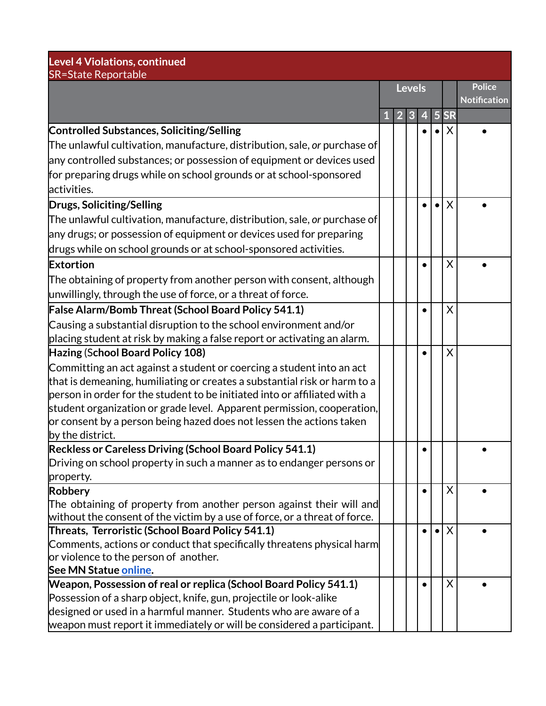| <b>Level 4 Violations, continued</b><br><b>SR=State Reportable</b>                                                                                 |   |                |               |   |   |           |                     |
|----------------------------------------------------------------------------------------------------------------------------------------------------|---|----------------|---------------|---|---|-----------|---------------------|
|                                                                                                                                                    |   |                | <b>Levels</b> |   |   |           | <b>Police</b>       |
|                                                                                                                                                    |   |                |               |   |   |           | <b>Notification</b> |
|                                                                                                                                                    | 1 | $\overline{2}$ | 3             | 4 | 5 | <b>SR</b> |                     |
| <b>Controlled Substances, Soliciting/Selling</b>                                                                                                   |   |                |               |   |   | X         |                     |
| The unlawful cultivation, manufacture, distribution, sale, or purchase of                                                                          |   |                |               |   |   |           |                     |
| any controlled substances; or possession of equipment or devices used                                                                              |   |                |               |   |   |           |                     |
| for preparing drugs while on school grounds or at school-sponsored                                                                                 |   |                |               |   |   |           |                     |
| activities.                                                                                                                                        |   |                |               |   |   |           |                     |
| Drugs, Soliciting/Selling                                                                                                                          |   |                |               |   |   | X         |                     |
| The unlawful cultivation, manufacture, distribution, sale, or purchase of                                                                          |   |                |               |   |   |           |                     |
| any drugs; or possession of equipment or devices used for preparing                                                                                |   |                |               |   |   |           |                     |
| drugs while on school grounds or at school-sponsored activities.                                                                                   |   |                |               |   |   |           |                     |
| <b>Extortion</b>                                                                                                                                   |   |                |               |   |   | X         |                     |
| The obtaining of property from another person with consent, although                                                                               |   |                |               |   |   |           |                     |
| unwillingly, through the use of force, or a threat of force.                                                                                       |   |                |               |   |   |           |                     |
| <b>False Alarm/Bomb Threat (School Board Policy 541.1)</b>                                                                                         |   |                |               |   |   | Χ         |                     |
| Causing a substantial disruption to the school environment and/or                                                                                  |   |                |               |   |   |           |                     |
| placing student at risk by making a false report or activating an alarm.                                                                           |   |                |               |   |   |           |                     |
| Hazing (School Board Policy 108)                                                                                                                   |   |                |               |   |   | X         |                     |
| Committing an act against a student or coercing a student into an act                                                                              |   |                |               |   |   |           |                     |
| that is demeaning, humiliating or creates a substantial risk or harm to a                                                                          |   |                |               |   |   |           |                     |
| person in order for the student to be initiated into or affiliated with a                                                                          |   |                |               |   |   |           |                     |
| student organization or grade level. Apparent permission, cooperation,                                                                             |   |                |               |   |   |           |                     |
| or consent by a person being hazed does not lessen the actions taken                                                                               |   |                |               |   |   |           |                     |
| by the district.                                                                                                                                   |   |                |               |   |   |           |                     |
| Reckless or Careless Driving (School Board Policy 541.1)                                                                                           |   |                |               |   |   |           |                     |
| Driving on school property in such a manner as to endanger persons or                                                                              |   |                |               |   |   |           |                     |
| property.                                                                                                                                          |   |                |               |   |   |           |                     |
| Robbery                                                                                                                                            |   |                |               |   |   | X         |                     |
| The obtaining of property from another person against their will and<br>without the consent of the victim by a use of force, or a threat of force. |   |                |               |   |   |           |                     |
| Threats, Terroristic (School Board Policy 541.1)                                                                                                   |   |                |               |   |   | X         |                     |
| Comments, actions or conduct that specifically threatens physical harm                                                                             |   |                |               |   |   |           |                     |
| or violence to the person of another.                                                                                                              |   |                |               |   |   |           |                     |
| See MN Statue online.                                                                                                                              |   |                |               |   |   |           |                     |
| Weapon, Possession of real or replica (School Board Policy 541.1)                                                                                  |   |                |               |   |   | X         |                     |
| Possession of a sharp object, knife, gun, projectile or look-alike                                                                                 |   |                |               |   |   |           |                     |
| designed or used in a harmful manner. Students who are aware of a                                                                                  |   |                |               |   |   |           |                     |
| weapon must report it immediately or will be considered a participant.                                                                             |   |                |               |   |   |           |                     |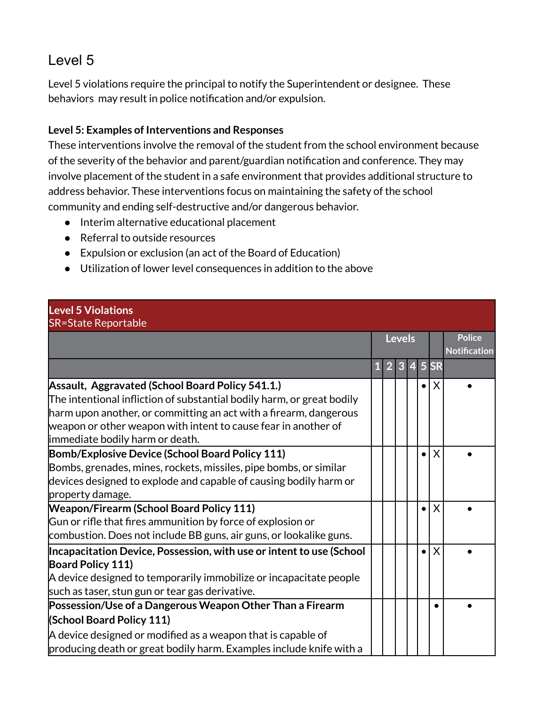<span id="page-10-0"></span>Level 5 violations require the principal to notify the Superintendent or designee. These behaviors may result in police notification and/or expulsion.

### **Level 5: Examples of Interventions and Responses**

These interventions involve the removal of the student from the school environment because of the severity of the behavior and parent/guardian notification and conference. They may involve placement of the student in a safe environment that provides additional structure to address behavior. These interventions focus on maintaining the safety of the school community and ending self-destructive and/or dangerous behavior.

- Interim alternative educational placement
- Referral to outside resources
- Expulsion or exclusion (an act of the Board of Education)
- Utilization of lower level consequences in addition to the above

|             |  |  |  |               |           | <b>Police</b>       |
|-------------|--|--|--|---------------|-----------|---------------------|
|             |  |  |  |               |           | <b>Notification</b> |
| $\mathbf 1$ |  |  |  |               |           |                     |
|             |  |  |  | $\bullet$     | $\times$  |                     |
|             |  |  |  |               |           |                     |
|             |  |  |  |               |           |                     |
|             |  |  |  |               |           |                     |
|             |  |  |  |               |           |                     |
|             |  |  |  | $\bullet$     | $\times$  |                     |
|             |  |  |  |               |           |                     |
|             |  |  |  |               |           |                     |
|             |  |  |  |               |           |                     |
|             |  |  |  | $\bullet$     | $\times$  |                     |
|             |  |  |  |               |           |                     |
|             |  |  |  |               |           |                     |
|             |  |  |  | $\bullet$     | $\times$  |                     |
|             |  |  |  |               |           |                     |
|             |  |  |  |               |           |                     |
|             |  |  |  |               |           |                     |
|             |  |  |  |               | $\bullet$ |                     |
|             |  |  |  |               |           |                     |
|             |  |  |  |               |           |                     |
|             |  |  |  |               |           |                     |
|             |  |  |  | <b>Levels</b> |           | 2 3 4 5 SR          |